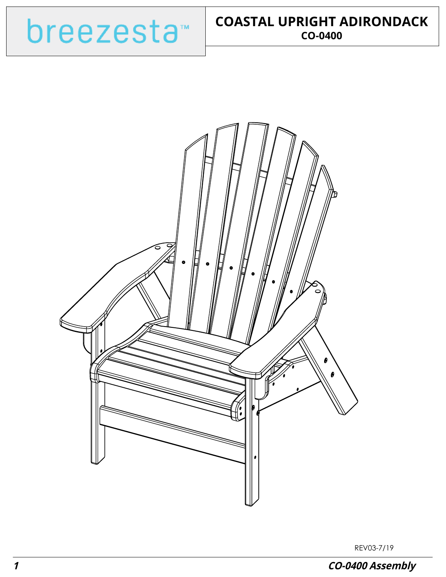



REV03-7/19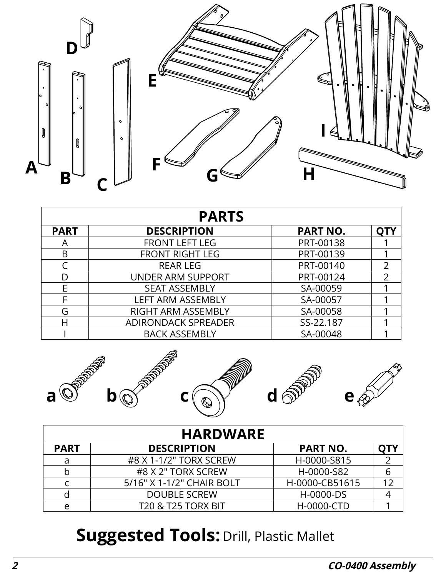

| <b>PARTS</b> |                            |                 |                |  |
|--------------|----------------------------|-----------------|----------------|--|
| <b>PART</b>  | <b>DESCRIPTION</b>         | <b>PART NO.</b> |                |  |
| Α            | <b>FRONT LEFT LEG</b>      | PRT-00138       |                |  |
| B            | <b>FRONT RIGHT LEG</b>     | PRT-00139       |                |  |
|              | <b>REAR LEG</b>            | PRT-00140       | $\overline{2}$ |  |
|              | <b>UNDER ARM SUPPORT</b>   | PRT-00124       | $\mathcal{P}$  |  |
| E            | <b>SEAT ASSEMBLY</b>       | SA-00059        |                |  |
|              | <b>LEFT ARM ASSEMBLY</b>   | SA-00057        |                |  |
| G            | RIGHT ARM ASSEMBLY         | SA-00058        |                |  |
| Н            | <b>ADIRONDACK SPREADER</b> | SS-22.187       |                |  |
|              | <b>BACK ASSEMBLY</b>       | SA-00048        |                |  |



|             | <b>HARDWARE</b>               |                 |  |
|-------------|-------------------------------|-----------------|--|
| <b>PART</b> | <b>DESCRIPTION</b>            | <b>PART NO.</b> |  |
| a           | #8 X 1-1/2" TORX SCREW        | H-0000-S815     |  |
| b           | #8 X 2" TORX SCREW            | H-0000-S82      |  |
|             | 5/16" X 1-1/2" CHAIR BOLT     | H-0000-CB51615  |  |
|             | <b>DOUBLE SCREW</b>           | H-0000-DS       |  |
| e           | <b>T20 &amp; T25 TORX BIT</b> | H-0000-CTD      |  |

## **Suggested Tools: Drill, Plastic Mallet**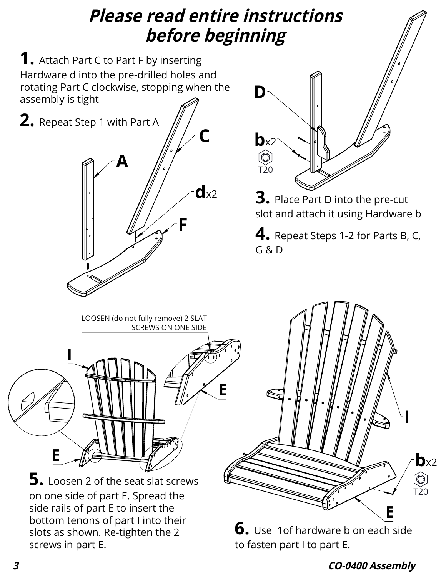## **Please read entire instructions before beginning**

**1.** Attach Part C to Part F by inserting Hardware d into the pre-drilled holes and rotating Part C clockwise, stopping when the assembly is tight





**3.** Place Part D into the pre-cut slot and attach it using Hardware b

**4.** Repeat Steps 1-2 for Parts B, C, G & D